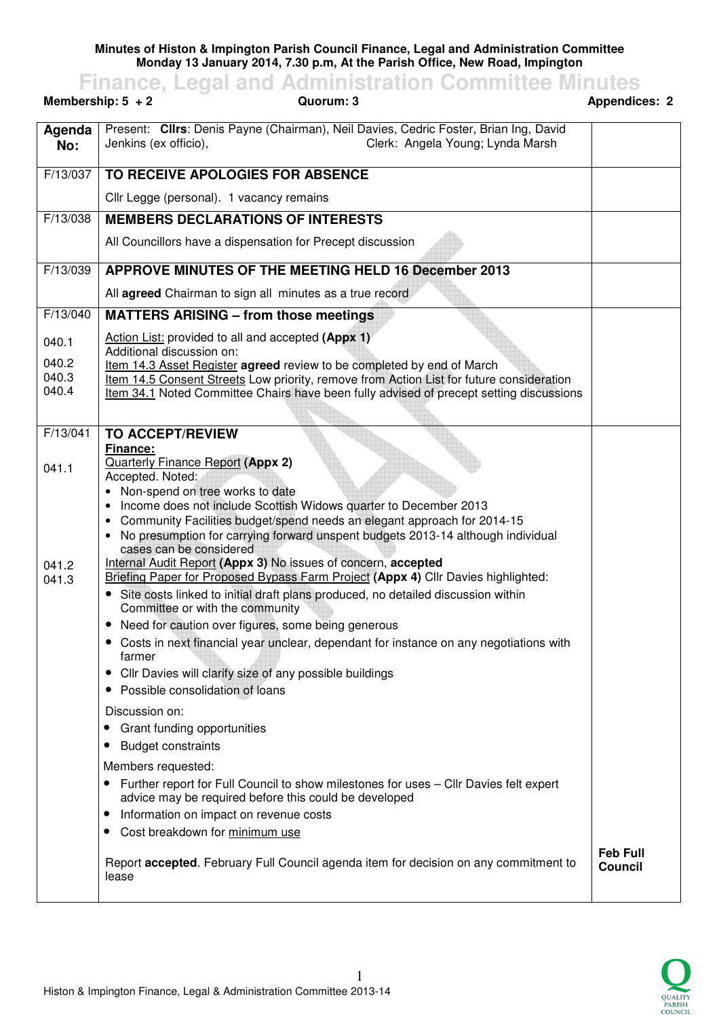**Minutes of Histon & Impington Parish Council Finance, Legal and Administration Committee Monday 13 January 2014, 7.30 p.m, At the Parish Office, New Road, Impington** 

**Finance, Legal and Administration Committee Minutes Membership: 5 + 2**  $\qquad$  **Quorum: 3**  $\qquad$  **Appendices: 2 Agenda No:**  Present: **Cllrs**: Denis Payne (Chairman), Neil Davies, Cedric Foster, Brian Ing, David Jenkins (ex officio), Clerk: Angela Young; Lynda Marsh F/13/037 **TO RECEIVE APOLOGIES FOR ABSENCE** Cllr Legge (personal). 1 vacancy remains

F/13/038 **MEMBERS DECLARATIONS OF INTERESTS** All Councillors have a dispensation for Precept discussion F/13/039 **APPROVE MINUTES OF THE MEETING HELD 16 December 2013** All **agreed** Chairman to sign all minutes as a true record F/13/040 040.1 040.2 040.3 040.4 **MATTERS ARISING – from those meetings** Action List: provided to all and accepted **(Appx 1)** Additional discussion on: Item 14.3 Asset Register **agreed** review to be completed by end of March Item 14.5 Consent Streets Low priority, remove from Action List for future consideration Item 34.1 Noted Committee Chairs have been fully advised of precept setting discussions F/13/041 041.1 041.2 041.3 **TO ACCEPT/REVIEW Finance:**  Quarterly Finance Report **(Appx 2)** Accepted. Noted: • Non-spend on tree works to date • Income does not include Scottish Widows quarter to December 2013 • Community Facilities budget/spend needs an elegant approach for 2014-15 • No presumption for carrying forward unspent budgets 2013-14 although individual cases can be considered Internal Audit Report **(Appx 3)** No issues of concern, **accepted**  Briefing Paper for Proposed Bypass Farm Project **(Appx 4)** Cllr Davies highlighted: • Site costs linked to initial draft plans produced, no detailed discussion within Committee or with the community • Need for caution over figures, some being generous • Costs in next financial year unclear, dependant for instance on any negotiations with farmer • Cllr Davies will clarify size of any possible buildings • Possible consolidation of loans Discussion on: • Grant funding opportunities • Budget constraints Members requested: • Further report for Full Council to show milestones for uses – Cllr Davies felt expert advice may be required before this could be developed • Information on impact on revenue costs • Cost breakdown for minimum use Report **accepted**. February Full Council agenda item for decision on any commitment to lease **Feb Full Council**